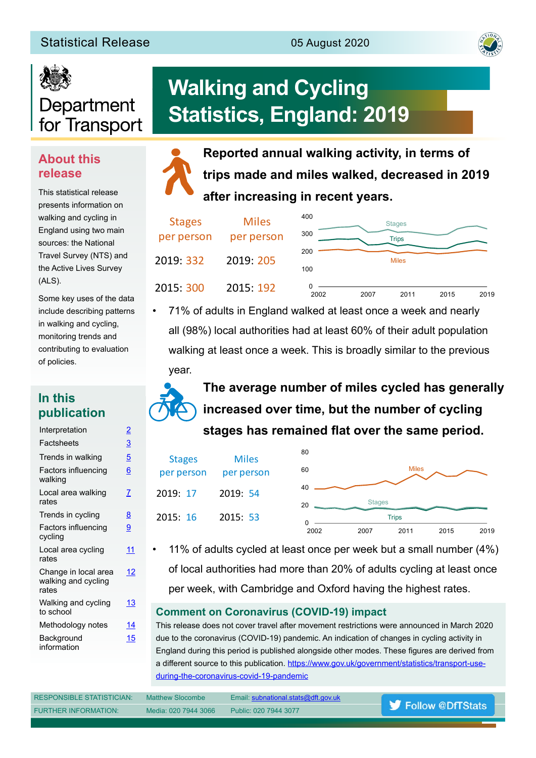#### Statistical Release **1986** 05 August 2020



# Department for Transport

#### **About this release**

This statistical release presents information on walking and cycling in England using two main sources: the National Travel Survey (NTS) and the Active Lives Survey (ALS).

Some key uses of the data include describing patterns in walking and cycling, monitoring trends and contributing to evaluation of policies.

#### **In this publication**

| Interpretation                                       | <u>2</u>        |
|------------------------------------------------------|-----------------|
| Factsheets                                           | $\overline{3}$  |
| Trends in walking                                    | <u>5</u>        |
| Factors influencing<br>walking                       | $\underline{6}$ |
| Local area walking<br>rates                          | 7               |
| Trends in cycling                                    | 8               |
| Factors influencing<br>cycling                       | 9               |
| Local area cycling<br>rates                          | 11              |
| Change in local area<br>walking and cycling<br>rates | 12              |
| Walking and cycling<br>to school                     | 13              |
| Methodology notes                                    | 14              |
| Background<br>information                            | 15              |

## **Walking and Cycling Statistics, England: 2019**

**Reported annual walking activity, in terms of trips made and miles walked, decreased in 2019 after increasing in recent years.**

| <b>Stages</b><br>per person | <b>Miles</b><br>per person | 400<br>300 |      | <b>Stages</b><br><b>Trips</b> |      |      |
|-----------------------------|----------------------------|------------|------|-------------------------------|------|------|
| 2019 332                    | 2019: 205                  | 200<br>100 |      | <b>Miles</b>                  |      |      |
| 2015: 300                   | 2015: 192                  | 2002       | 2007 | 2011                          | 2015 | 2019 |

• 71% of adults in England walked at least once a week and nearly all (98%) local authorities had at least 60% of their adult population walking at least once a week. This is broadly similar to the previous year.



**The average number of miles cycled has generally increased over time, but the number of cycling**  stages has remained flat over the same period.

| <b>Stages</b> | <b>Miles</b> | 80   |               |              |      |      |
|---------------|--------------|------|---------------|--------------|------|------|
| per person    | per person   | 60   |               | <b>Miles</b> |      |      |
| 2019: 17      | 2019: 54     | 40   |               |              |      |      |
|               |              | 20   | <b>Stages</b> |              |      |      |
| 2015: 16      | 2015: 53     | O    |               | <b>Trips</b> |      |      |
|               |              | 2002 | 2007          | 2011         | 2015 | 2019 |

• 11% of adults cycled at least once per week but a small number (4%) of local authorities had more than 20% of adults cycling at least once per week, with Cambridge and Oxford having the highest rates.

#### **Comment on Coronavirus (COVID-19) impact**

This release does not cover travel after movement restrictions were announced in March 2020 due to the coronavirus (COVID-19) pandemic. An indication of changes in cycling activity in England during this period is published alongside other modes. These fgures are derived from a different source to this publication. [https://www.gov.uk/government/statistics/transport-use](https://www.gov.uk/government/statistics/transport-use-during-the-coronavirus-covid-19-pandemic)[during-the-coronavirus-covid-19-pandemic](https://www.gov.uk/government/statistics/transport-use-during-the-coronavirus-covid-19-pandemic)

| <b>RESPONSIBLE STATISTICIAN:</b> | Matthew Slocombe     | Email: subnational.stats@dft.gov.uk |                           |
|----------------------------------|----------------------|-------------------------------------|---------------------------|
| <b>FURTHER INFORMATION:</b>      | Media: 020 7944 3066 | Public: 020 7944 3077               | <b>S</b> Follow @DfTStats |
|                                  |                      |                                     |                           |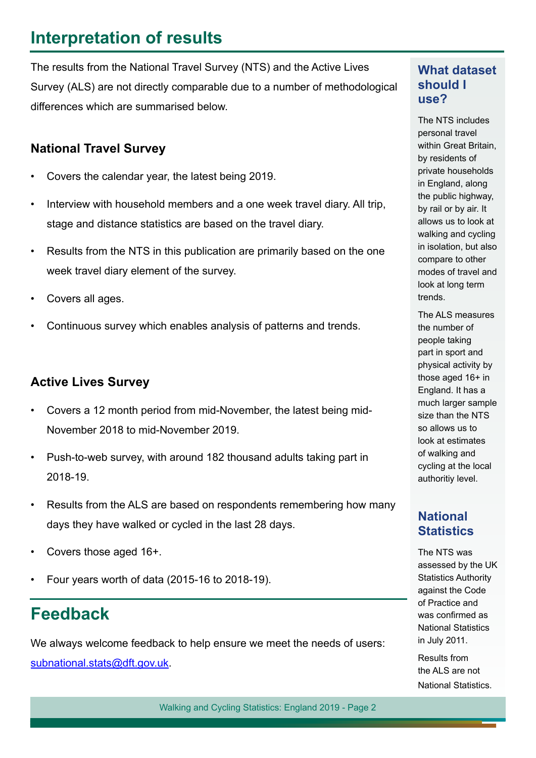### <span id="page-1-0"></span>**Interpretation of results**

The results from the National Travel Survey (NTS) and the Active Lives Survey (ALS) are not directly comparable due to a number of methodological diferences which are summarised below.

#### **National Travel Survey**

- Covers the calendar year, the latest being 2019.
- Interview with household members and a one week travel diary. All trip, stage and distance statistics are based on the travel diary.
- Results from the NTS in this publication are primarily based on the one week travel diary element of the survey.
- Covers all ages.
- Continuous survey which enables analysis of patterns and trends.

#### **Active Lives Survey**

- Covers a 12 month period from mid-November, the latest being mid-November 2018 to mid-November 2019.
- Push-to-web survey, with around 182 thousand adults taking part in 2018-19.
- Results from the ALS are based on respondents remembering how many days they have walked or cycled in the last 28 days.
- Covers those aged 16+.
- Four years worth of data (2015-16 to 2018-19).

### **Feedback**

We always welcome feedback to help ensure we meet the needs of users: [subnational.stats@dft.gov.uk](mailto:subnational.stats%40dft.gov.uk?subject=).

#### **What dataset should I use?**

The NTS includes personal travel within Great Britain, by residents of private households in England, along the public highway, by rail or by air. It allows us to look at walking and cycling in isolation, but also compare to other modes of travel and look at long term trends.

The ALS measures the number of people taking part in sport and physical activity by those aged 16+ in England. It has a much larger sample size than the NTS so allows us to look at estimates of walking and cycling at the local authoritiy level.

#### **National Statistics**

The NTS was assessed by the UK Statistics Authority against the Code of Practice and was confrmed as National Statistics in July 2011.

Results from the ALS are not National Statistics.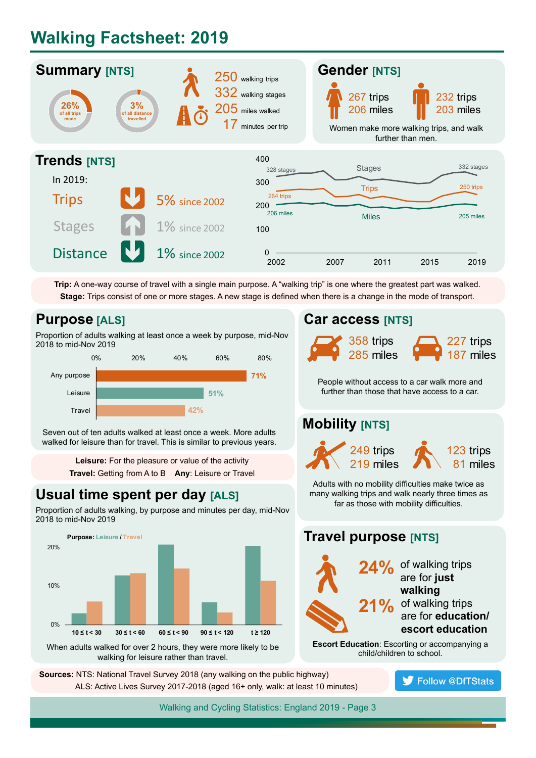### <span id="page-2-0"></span>**Walking Factsheet: 2019**



**Trip:** A one-way course of travel with a single main purpose. A "walking trip" is one where the greatest part was walked. **Stage:** Trips consist of one or more stages. A new stage is defned when there is a change in the mode of transport.

#### **Purpose [ALS]**

Proportion of adults walking at least once a week by purpose, mid-Nov 2018 to mid-Nov 2019



Seven out of ten adults walked at least once a week. More adults walked for leisure than for travel. This is similar to previous years.

> **Leisure:** For the pleasure or value of the activity **Travel:** Getting from A to B **Any**: Leisure or Travel

#### **Usual time spent per day [ALS]**

Proportion of adults walking, by purpose and minutes per day, mid-Nov 2018 to mid-Nov 2019



When adults walked for over 2 hours, they were more likely to be walking for leisure rather than travel.

 **Sources:** NTS: National Travel Survey 2018 (any walking on the public highway) ALS: Active Lives Survey 2017-2018 (aged 16+ only, walk: at least 10 minutes)

#### **Car access [NTS]**



People without access to a car walk more and further than those that have access to a car.

#### **Mobility [NTS]**



Adults with no mobility difficulties make twice as many walking trips and walk nearly three times as far as those with mobility difficulties.

#### **Travel purpose [NTS] 24%** of walking trips are for **just walking** 21% of walking trips are for **education/ escort education Escort Education**: Escorting or accompanying a

child/children to school.

**Follow @DfTStats**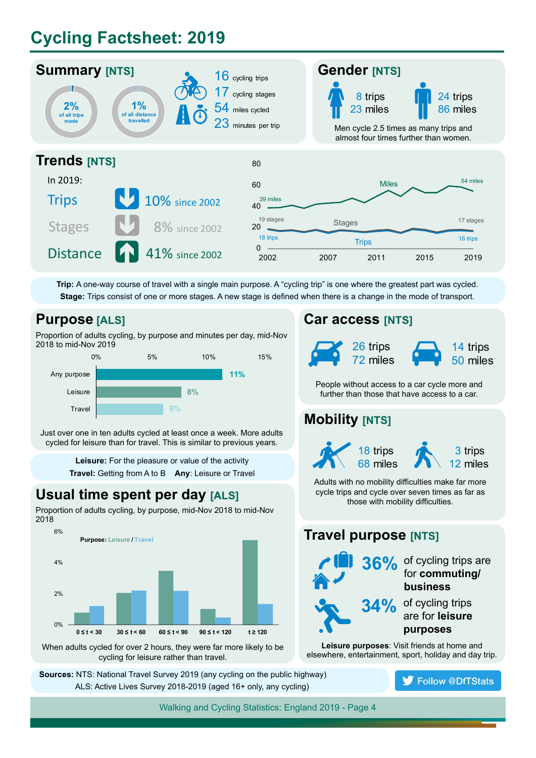### **Cycling Factsheet: 2019**



**Trip:** A one-way course of travel with a single main purpose. A "cycling trip" is one where the greatest part was cycled. **Stage:** Trips consist of one or more stages. A new stage is defned when there is a change in the mode of transport.

#### **Purpose [ALS]**

Proportion of adults cycling, by purpose and minutes per day, mid-Nov 2018 to mid-Nov 2019



Just over one in ten adults cycled at least once a week. More adults cycled for leisure than for travel. This is similar to previous years.

> **Leisure:** For the pleasure or value of the activity **Travel:** Getting from A to B **Any**: Leisure or Travel

#### **Usual time spent per day [ALS]**

Proportion of adults cycling, by purpose, mid-Nov 2018 to mid-Nov 2018



When adults cycled for over 2 hours, they were far more likely to be cycling for leisure rather than travel.

 **Sources:** NTS: National Travel Survey 2019 (any cycling on the public highway) ALS: Active Lives Survey 2018-2019 (aged 16+ only, any cycling)

#### **Car access [NTS]**



People without access to a car cycle more and further than those that have access to a car.

#### **Mobility [NTS]**



Adults with no mobility difficulties make far more cycle trips and cycle over seven times as far as those with mobility difficulties.

#### **Travel purpose [NTS]**



**Leisure purposes**: Visit friends at home and elsewhere, entertainment, sport, holiday and day trip.

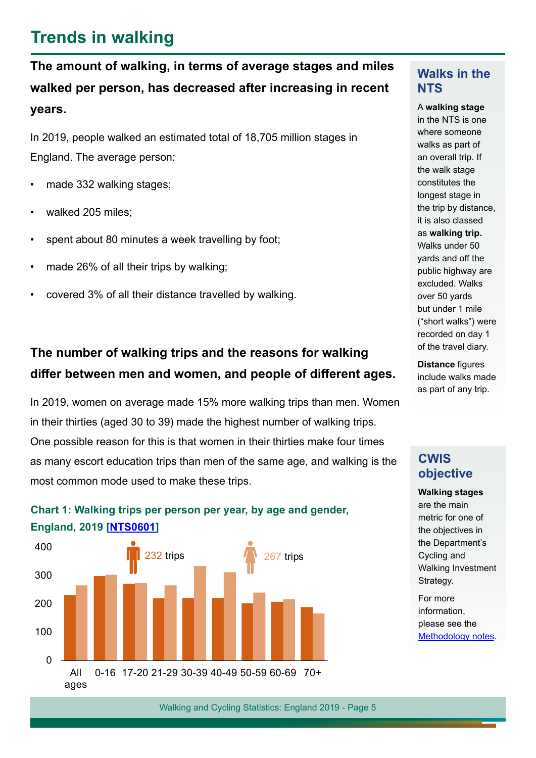### **Trends in walking**

<span id="page-4-0"></span>**The amount of walking, in terms of average stages and miles walked per person, has decreased after increasing in recent years.** 

In 2019, people walked an estimated total of 18,705 million stages in England. The average person:

- made 332 walking stages;
- walked 205 miles:
- spent about 80 minutes a week travelling by foot;
- made 26% of all their trips by walking;
- covered 3% of all their distance travelled by walking.

### **The number of walking trips and the reasons for walking difer between men and women, and people of diferent ages.**

In 2019, women on average made 15% more walking trips than men. Women in their thirties (aged 30 to 39) made the highest number of walking trips. One possible reason for this is that women in their thirties make four times as many escort education trips than men of the same age, and walking is the most common mode used to make these trips.



#### **Chart 1: Walking trips per person per year, by age and gender, England, 2019 [\[NTS0601\]](https://www.gov.uk/government/statistical-data-sets/nts03-modal-comparisons#mode-by-age-and-gender)**

#### **Walks in the NTS**

A **walking stage** in the NTS is one where someone walks as part of an overall trip. If the walk stage constitutes the longest stage in the trip by distance, it is also classed as **walking trip.** Walks under 50 yards and off the public highway are excluded. Walks over 50 yards but under 1 mile ("short walks") were recorded on day 1 of the travel diary.

**Distance figures** include walks made as part of any trip.

#### **CWIS objective**

**Walking stages** are the main metric for one of the objectives in the Department's Cycling and Walking Investment Strategy.

For more information, please see the [Methodology](#page-13-0) notes.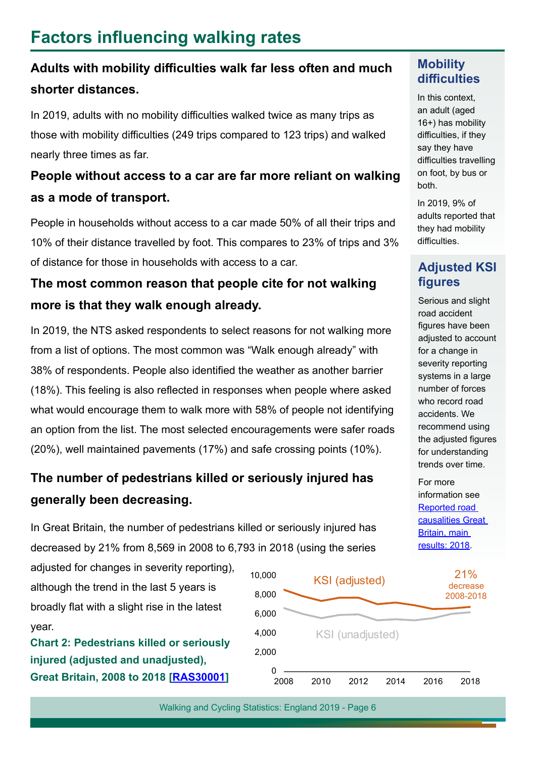### <span id="page-5-0"></span>**Factors infuencing walking rates**

### Adults with mobility difficulties walk far less often and much **shorter distances.**

In 2019, adults with no mobility difficulties walked twice as many trips as those with mobility difficulties (249 trips compared to 123 trips) and walked nearly three times as far.

### **People without access to a car are far more reliant on walking as a mode of transport.**

People in households without access to a car made 50% of all their trips and 10% of their distance travelled by foot. This compares to 23% of trips and 3% of distance for those in households with access to a car.

#### **The most common reason that people cite for not walking more is that they walk enough already.**

In 2019, the NTS asked respondents to select reasons for not walking more from a list of options. The most common was "Walk enough already" with 38% of respondents. People also identifed the weather as another barrier (18%). This feeling is also refected in responses when people where asked what would encourage them to walk more with 58% of people not identifying an option from the list. The most selected encouragements were safer roads (20%), well maintained pavements (17%) and safe crossing points (10%).

### **The number of pedestrians killed or seriously injured has generally been decreasing.**

In Great Britain, the number of pedestrians killed or seriously injured has decreased by 21% from 8,569 in 2008 to 6,793 in 2018 (using the series

adjusted for changes in severity reporting), although the trend in the last 5 years is broadly flat with a slight rise in the latest year.

**Chart 2: Pedestrians killed or seriously injured (adjusted and unadjusted), Great Britain, 2008 to 2018 [[RAS30001](https://www.gov.uk/government/statistical-data-sets/ras30-reported-casualties-in-road-accidents)]** <sup>0</sup>



Walking and Cycling Statistics: England 2019 - Page 6

#### **Mobility**  difficulties

In this context, an adult (aged 16+) has mobility difficulties, if they say they have difficulties travelling on foot, by bus or both.

In 2019, 9% of adults reported that they had mobility difficulties.

#### **Adjusted KSI fgures**

Serious and slight road accident figures have been adjusted to account for a change in severity reporting systems in a large number of forces who record road accidents. We recommend using the adiusted figures for understanding trends over time.

For more information see [Reported road](https://www.gov.uk/government/statistics/reported-road-casualties-great-britain-main-results-2018)  [causalities Great](https://www.gov.uk/government/statistics/reported-road-casualties-great-britain-main-results-2018)  [Britain, main](https://www.gov.uk/government/statistics/reported-road-casualties-great-britain-main-results-2018)  [results: 2018.](https://www.gov.uk/government/statistics/reported-road-casualties-great-britain-main-results-2018)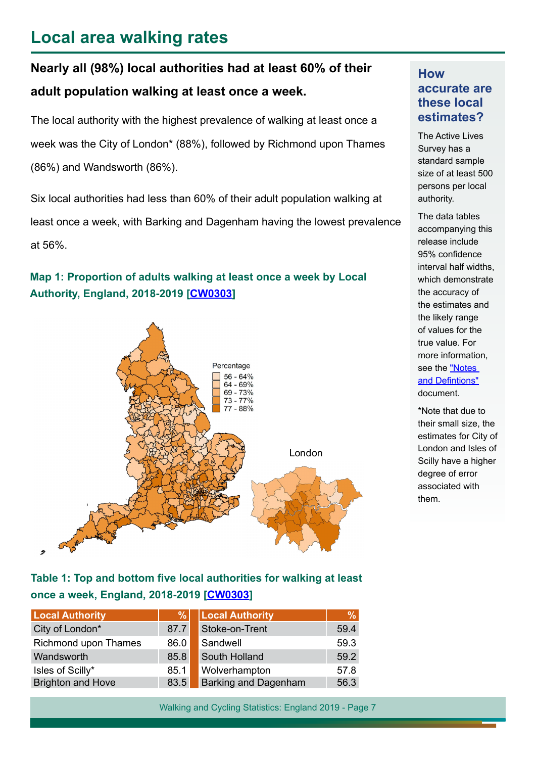### <span id="page-6-0"></span>**Local area walking rates**

### **Nearly all (98%) local authorities had at least 60% of their adult population walking at least once a week.**

The local authority with the highest prevalence of walking at least once a week was the City of London\* (88%), followed by Richmond upon Thames (86%) and Wandsworth (86%).

Six local authorities had less than 60% of their adult population walking at least once a week, with Barking and Dagenham having the lowest prevalence at 56%.

#### **Map 1: Proportion of adults walking at least once a week by Local Authority, England, 2018-2019 [\[CW030](https://www.gov.uk/government/statistical-data-sets/participation-in-walking-and-cycling-cw03)3]**



#### Table 1: Top and bottom five local authorities for walking at least **once a week, England, 2018-2019 [\[CW030](https://www.gov.uk/government/statistical-data-sets/participation-in-walking-and-cycling-cw03)3]**

| <b>Local Authority</b>   | %    | <b>Local Authority</b>      | $\%$ |
|--------------------------|------|-----------------------------|------|
| City of London*          | 87.7 | Stoke-on-Trent              | 59.4 |
| Richmond upon Thames     | 86.0 | Sandwell                    | 59.3 |
| Wandsworth               | 85.8 | South Holland               | 59.2 |
| Isles of Scilly*         | 85.1 | Wolverhampton               | 57.8 |
| <b>Brighton and Hove</b> | 83.5 | <b>Barking and Dagenham</b> | 56.3 |

Walking and Cycling Statistics: England 2019 - Page 7

#### **How accurate are these local estimates?**

The Active Lives Survey has a standard sample size of at least 500 persons per local authority.

The data tables accompanying this release include 95% confidence interval half widths, which demonstrate the accuracy of the estimates and the likely range of values for the true value. For more information, see the "Notes and Defintions" document.

\*Note that due to their small size, the estimates for City of London and Isles of Scilly have a higher degree of error associated with them.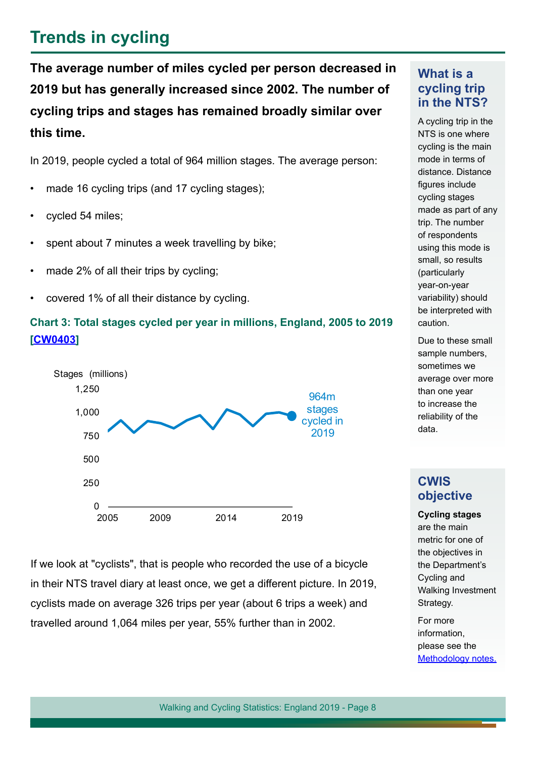### <span id="page-7-0"></span>**Trends in cycling**

**The average number of miles cycled per person decreased in 2019 but has generally increased since 2002. The number of cycling trips and stages has remained broadly similar over this time.**

In 2019, people cycled a total of 964 million stages. The average person:

- made 16 cycling trips (and 17 cycling stages);
- cycled 54 miles:
- spent about 7 minutes a week travelling by bike;
- made 2% of all their trips by cycling;
- covered 1% of all their distance by cycling.

#### **Chart 3: Total stages cycled per year in millions, England, 2005 to 2019 [\[CW0403\]](https://www.gov.uk/government/statistical-data-sets/walking-and-cycling-statistics-cw)**



If we look at "cyclists", that is people who recorded the use of a bicycle in their NTS travel diary at least once, we get a diferent picture. In 2019, cyclists made on average 326 trips per year (about 6 trips a week) and travelled around 1,064 miles per year, 55% further than in 2002.

#### **What is a cycling trip in the NTS?**

A cycling trip in the NTS is one where cycling is the main mode in terms of distance. Distance figures include cycling stages made as part of any trip. The number of respondents using this mode is small, so results (particularly year-on-year variability) should be interpreted with caution.

Due to these small sample numbers, sometimes we average over more than one year to increase the reliability of the data.

#### **CWIS objective**

**Cycling stages** are the main metric for one of the objectives in the Department's Cycling and Walking Investment Strategy.

For more information, please see the [Methodology notes.](#page-13-0)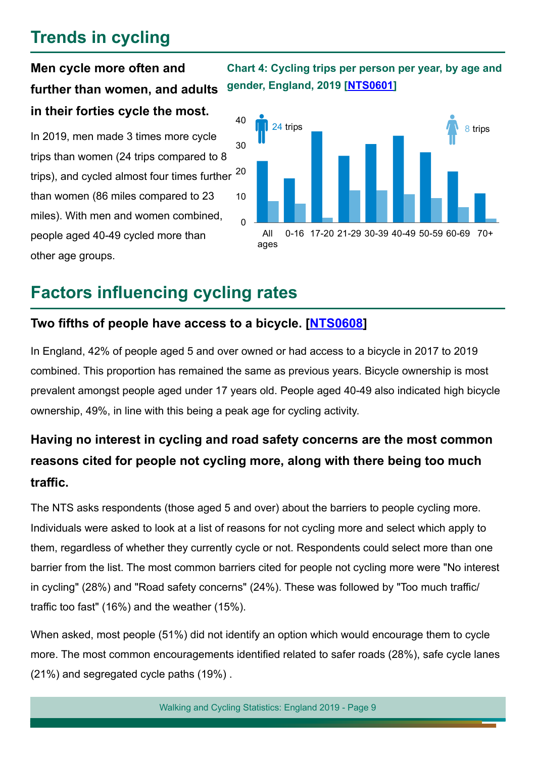### **Trends in cycling**

### **Men cycle more often and further than women, and adults in their forties cycle the most.**

In 2019, men made 3 times more cycle trips than women (24 trips compared to 8 trips), and cycled almost four times further than women (86 miles compared to 23 miles). With men and women combined, people aged 40-49 cycled more than other age groups.

**Chart 4: Cycling trips per person per year, by age and gender, England, 2019 [\[NTS0601](https://www.gov.uk/government/statistical-data-sets/nts03-modal-comparisons#mode-by-age-and-gender)]**



### <span id="page-8-0"></span>**Factors infuencing cycling rates**

#### **Two ffths of people have access to a bicycle. [[NTS0608](https://www.gov.uk/government/statistical-data-sets/nts06-age-gender-and-modal-breakdown#cycling-and-motorcycling)]**

In England, 42% of people aged 5 and over owned or had access to a bicycle in 2017 to 2019 combined. This proportion has remained the same as previous years. Bicycle ownership is most prevalent amongst people aged under 17 years old. People aged 40-49 also indicated high bicycle ownership, 49%, in line with this being a peak age for cycling activity.

### **Having no interest in cycling and road safety concerns are the most common reasons cited for people not cycling more, along with there being too much trafc.**

The NTS asks respondents (those aged 5 and over) about the barriers to people cycling more. Individuals were asked to look at a list of reasons for not cycling more and select which apply to them, regardless of whether they currently cycle or not. Respondents could select more than one barrier from the list. The most common barriers cited for people not cycling more were "No interest in cycling" (28%) and "Road safety concerns" (24%). These was followed by "Too much traffic/ traffic too fast"  $(16%)$  and the weather  $(15%)$ .

When asked, most people (51%) did not identify an option which would encourage them to cycle more. The most common encouragements identifed related to safer roads (28%), safe cycle lanes (21%) and segregated cycle paths (19%) .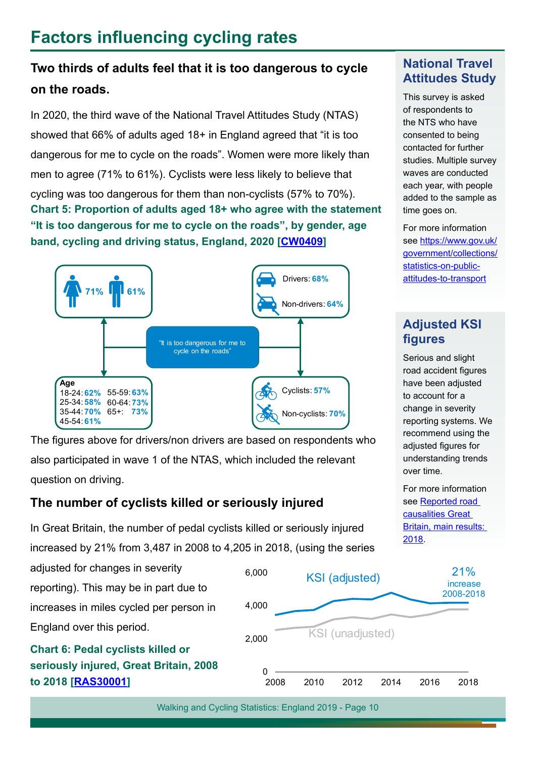### **Factors infuencing cycling rates**

### **Two thirds of adults feel that it is too dangerous to cycle on the roads.**

In 2020, the third wave of the National Travel Attitudes Study (NTAS) showed that 66% of adults aged 18+ in England agreed that "it is too dangerous for me to cycle on the roads". Women were more likely than men to agree (71% to 61%). Cyclists were less likely to believe that cycling was too dangerous for them than non-cyclists (57% to 70%). **Chart 5: Proportion of adults aged 18+ who agree with the statement "It is too dangerous for me to cycle on the roads", by gender, age band, cycling and driving status, England, 2020 [CW0409]**



The figures above for drivers/non drivers are based on respondents who also participated in wave 1 of the NTAS, which included the relevant question on driving.

#### **The number of cyclists killed or seriously injured**

In Great Britain, the number of pedal cyclists killed or seriously injured increased by 21% from 3,487 in 2008 to 4,205 in 2018, (using the series



Walking and Cycling Statistics: England 2019 - Page 10

#### **National Travel Attitudes Study**

This survey is asked of respondents to the NTS who have consented to being contacted for further studies. Multiple survey waves are conducted each year, with people added to the sample as time goes on.

For more information see [https://www.gov.uk/](https://www.gov.uk/government/collections/statistics-on-public-attitudes-to-transport) [government/collections/](https://www.gov.uk/government/collections/statistics-on-public-attitudes-to-transport) [statistics-on-public](https://www.gov.uk/government/collections/statistics-on-public-attitudes-to-transport)[attitudes-to-transport](https://www.gov.uk/government/collections/statistics-on-public-attitudes-to-transport)

#### **Adjusted KSI figures**

Serious and slight road accident figures have been adjusted to account for a change in severity reporting systems. We recommend using the adjusted figures for understanding trends over time.

For more information see Reported road [causalities Great](https://www.gov.uk/government/statistics/reported-road-casualties-great-britain-main-results-2018)  [Britain, main results:](https://www.gov.uk/government/statistics/reported-road-casualties-great-britain-main-results-2018)  [2018](https://www.gov.uk/government/statistics/reported-road-casualties-great-britain-main-results-2018).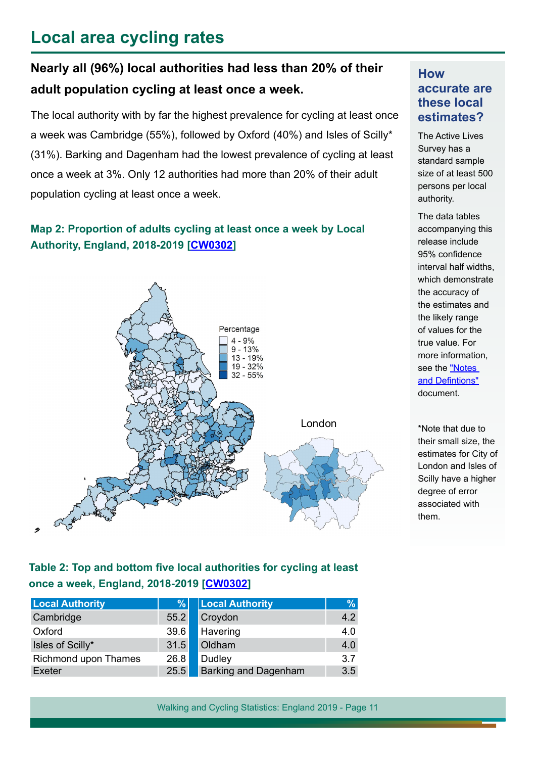### <span id="page-10-0"></span>**Local area cycling rates**

### **Nearly all (96%) local authorities had less than 20% of their adult population cycling at least once a week.**

The local authority with by far the highest prevalence for cycling at least once a week was Cambridge (55%), followed by Oxford (40%) and Isles of Scilly\* (31%). Barking and Dagenham had the lowest prevalence of cycling at least once a week at 3%. Only 12 authorities had more than 20% of their adult population cycling at least once a week.

#### **Map 2: Proportion of adults cycling at least once a week by Local Authority, England, 2018-2019 [[CW0302](https://www.gov.uk/government/statistical-data-sets/participation-in-walking-and-cycling-cw03)]**



#### **How accurate are these local estimates?**

The Active Lives Survey has a standard sample size of at least 500 persons per local authority.

The data tables accompanying this release include 95% confidence interval half widths, which demonstrate the accuracy of the estimates and the likely range of values for the true value. For more information, see the "Notes and Defintions" document.

\*Note that due to their small size, the estimates for City of London and Isles of Scilly have a higher degree of error associated with them.

#### Table 2: Top and bottom five local authorities for cycling at least **once a week, England, 2018-2019 [\[CW030](https://www.gov.uk/government/statistical-data-sets/participation-in-walking-and-cycling-cw03)2]**

| <b>Local Authority</b> | $\frac{9}{6}$ | <b>Local Authority</b>      | $\frac{9}{6}$ |
|------------------------|---------------|-----------------------------|---------------|
| Cambridge              | 55.2          | Croydon                     | 4.2           |
| Oxford                 | 39.6          | Havering                    | 4.0           |
| Isles of Scilly*       | 31.5          | Oldham                      | 4.0           |
| Richmond upon Thames   | 26.8          | Dudley                      | 3.7           |
| Exeter                 | 25.5          | <b>Barking and Dagenham</b> | 3.5           |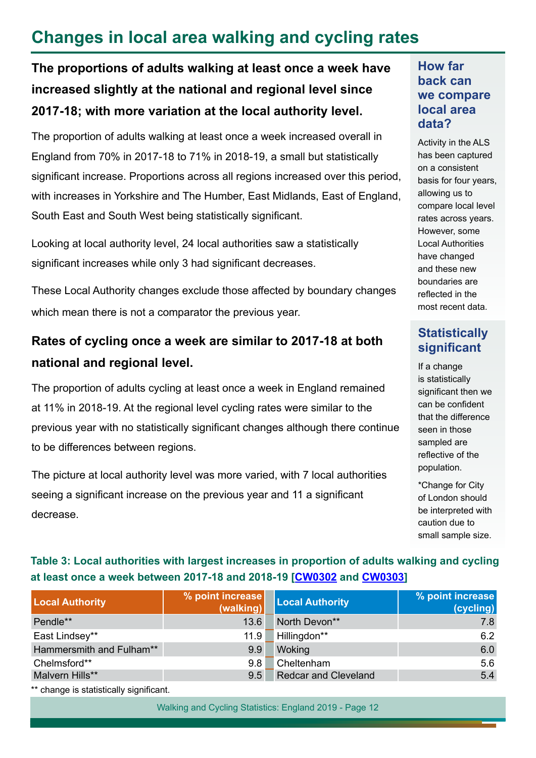### <span id="page-11-0"></span>**Changes in local area walking and cycling rates**

**The proportions of adults walking at least once a week have increased slightly at the national and regional level since 2017-18; with more variation at the local authority level.**

The proportion of adults walking at least once a week increased overall in England from 70% in 2017-18 to 71% in 2018-19, a small but statistically significant increase. Proportions across all regions increased over this period, with increases in Yorkshire and The Humber, East Midlands, East of England, South East and South West being statistically significant.

Looking at local authority level, 24 local authorities saw a statistically significant increases while only 3 had significant decreases.

These Local Authority changes exclude those afected by boundary changes which mean there is not a comparator the previous year.

### **Rates of cycling once a week are similar to 2017-18 at both national and regional level.**

The proportion of adults cycling at least once a week in England remained at 11% in 2018-19. At the regional level cycling rates were similar to the previous year with no statistically signifcant changes although there continue to be diferences between regions.

The picture at local authority level was more varied, with 7 local authorities seeing a signifcant increase on the previous year and 11 a signifcant decrease.

#### **How far back can we compare local area data?**

Activity in the ALS has been captured on a consistent basis for four years, allowing us to compare local level rates across years. However, some Local Authorities have changed and these new boundaries are reflected in the most recent data.

#### **Statistically significant**

If a change is statistically significant then we can be confident that the diference seen in those sampled are reflective of the population.

\*Change for City of London should be interpreted with caution due to small sample size.

#### **Table 3: Local authorities with largest increases in proportion of adults walking and cycling at least once a week between 2017-18 and 2018-19 [[CW0302](https://www.gov.uk/government/statistical-data-sets/walking-and-cycling-statistics-cw) and [CW030](https://www.gov.uk/government/statistical-data-sets/participation-in-walking-and-cycling-cw03)3]**

| % point increase<br>(walking) | <b>Local Authority</b>      | % point increase<br>(cycling) |
|-------------------------------|-----------------------------|-------------------------------|
| 13.6                          | North Devon**               | 7.8                           |
| 11.9                          | Hillingdon**                | 6.2                           |
| 9.9                           | Woking                      | 6.0                           |
| 9.8                           | Cheltenham                  | 5.6                           |
| 9.5                           | <b>Redcar and Cleveland</b> | 5.4                           |
|                               |                             |                               |

\*\* change is statistically significant.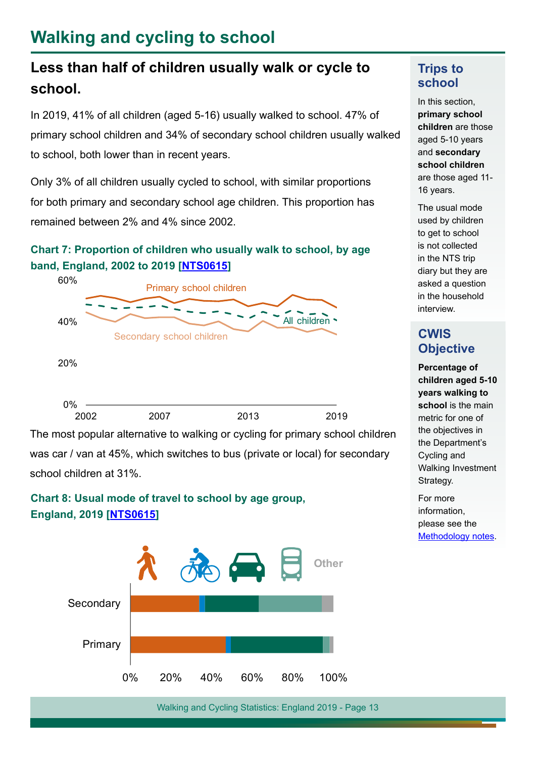### <span id="page-12-0"></span>**Walking and cycling to school**

### **Less than half of children usually walk or cycle to school.**

In 2019, 41% of all children (aged 5-16) usually walked to school. 47% of primary school children and 34% of secondary school children usually walked to school, both lower than in recent years.

Only 3% of all children usually cycled to school, with similar proportions for both primary and secondary school age children. This proportion has remained between 2% and 4% since 2002.

#### **Chart 7: Proportion of children who usually walk to school, by age band, England, 2002 to 2019 [\[NTS0615\]](https://www.gov.uk/government/statistical-data-sets/nts03-modal-comparisons#mode-by-age-and-gender)**



The most popular alternative to walking or cycling for primary school children was car / van at 45%, which switches to bus (private or local) for secondary school children at 31%.

#### **Chart 8: Usual mode of travel to school by age group, England, 2019 [\[NTS0615\]](https://www.gov.uk/government/statistical-data-sets/nts03-modal-comparisons#mode-by-age-and-gender)**



#### **Trips to school**

In this section, **primary school children** are those aged 5-10 years and **secondary school children** are those aged 11- 16 years.

The usual mode used by children to get to school is not collected in the NTS trip diary but they are asked a question in the household interview.

#### **CWIS Objective**

**Percentage of children aged 5-10 years walking to school** is the main metric for one of the objectives in the Department's Cycling and Walking Investment Strategy.

For more information, please see the [Methodology](#page-13-0) notes.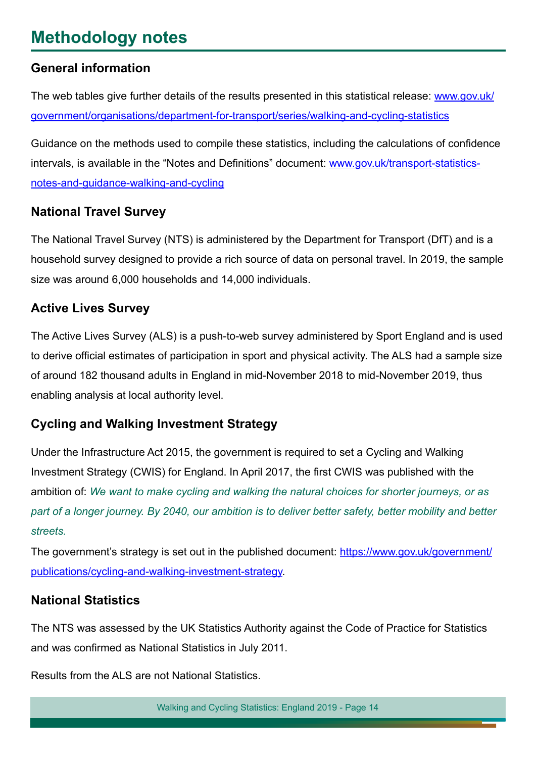### <span id="page-13-0"></span>**Methodology notes**

#### **General information**

The web tables give further details of the results presented in this statistical release: [www.gov.uk/](www.gov.uk/government/organisations/department-for-transport/series/walking-and-cycling-statistics) [government/organisations/department-for-transport/series/walking-and-cycling-statistics](www.gov.uk/government/organisations/department-for-transport/series/walking-and-cycling-statistics)

Guidance on the methods used to compile these statistics, including the calculations of confdence intervals, is available in the "Notes and Definitions" document: [www.gov.uk/transport-statistics](www.gov.uk/transport-statistics-notes-and-guidance-walking-and-cycling)[notes-and-guidance-walking-and-cycling](www.gov.uk/transport-statistics-notes-and-guidance-walking-and-cycling)

#### **National Travel Survey**

The National Travel Survey (NTS) is administered by the Department for Transport (DfT) and is a household survey designed to provide a rich source of data on personal travel. In 2019, the sample size was around 6,000 households and 14,000 individuals.

#### **Active Lives Survey**

The Active Lives Survey (ALS) is a push-to-web survey administered by Sport England and is used to derive official estimates of participation in sport and physical activity. The ALS had a sample size of around 182 thousand adults in England in mid-November 2018 to mid-November 2019, thus enabling analysis at local authority level.

#### **Cycling and Walking Investment Strategy**

Under the Infrastructure Act 2015, the government is required to set a Cycling and Walking Investment Strategy (CWIS) for England. In April 2017, the frst CWIS was published with the ambition of: *We want to make cycling and walking the natural choices for shorter journeys, or as part of a longer journey. By 2040, our ambition is to deliver better safety, better mobility and better streets.*

The government's strategy is set out in the published document: [https://www.gov.uk/government/](https://www.gov.uk/government/publications/cycling-and-walking-investment-strategy) [publications/cycling-and-walking-investment-strategy.](https://www.gov.uk/government/publications/cycling-and-walking-investment-strategy)

#### **National Statistics**

The NTS was assessed by the UK Statistics Authority against the Code of Practice for Statistics and was confrmed as National Statistics in July 2011.

Results from the ALS are not National Statistics.